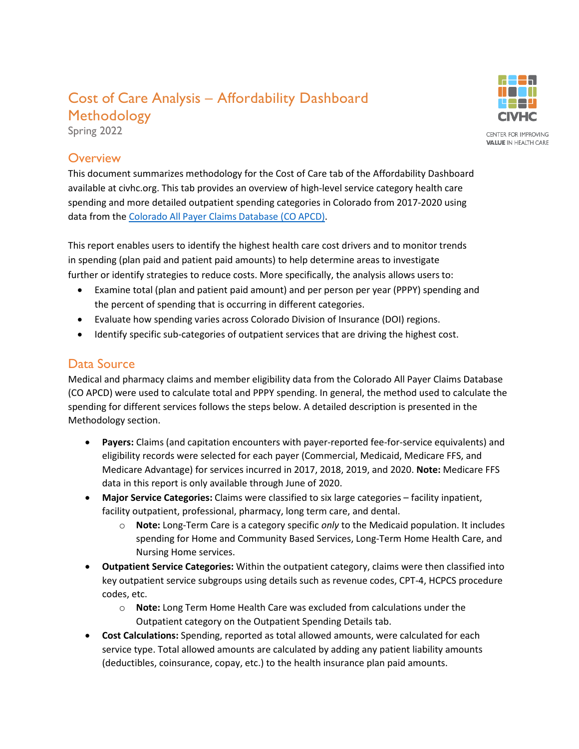# Cost of Care Analysis – Affordability Dashboard Methodology

Spring 2022

### **Overview**

This document summarizes methodology for the Cost of Care tab of the Affordability Dashboard available at civhc.org. This tab provides an overview of high-level service category health care spending and more detailed outpatient spending categories in Colorado from 2017-2020 using data from the Colorado All [Payer Claims](https://www.civhc.org/get-data/co-apcd-info/) Database (CO APCD).

This report enables users to identify the highest health care cost drivers and to monitor trends in spending (plan paid and patient paid amounts) to help determine areas to investigate further or identify strategies to reduce costs. More specifically, the analysis allows users to:

- Examine total (plan and patient paid amount) and per person per year (PPPY) spending and the percent of spending that is occurring in different categories.
- Evaluate how spending varies across Colorado Division of Insurance (DOI) regions.
- Identify specific sub-categories of outpatient services that are driving the highest cost.

### Data Source

Medical and pharmacy claims and member eligibility data from the Colorado All Payer Claims Database (CO APCD) were used to calculate total and PPPY spending. In general, the method used to calculate the spending for different services follows the steps below. A detailed description is presented in the Methodology section.

- **Payers:** Claims (and capitation encounters with payer-reported fee-for-service equivalents) and eligibility records were selected for each payer (Commercial, Medicaid, Medicare FFS, and Medicare Advantage) for services incurred in 2017, 2018, 2019, and 2020. **Note:** Medicare FFS data in this report is only available through June of 2020.
- **Major Service Categories:** Claims were classified to six large categories facility inpatient, facility outpatient, professional, pharmacy, long term care, and dental.
	- o **Note:** Long-Term Care is a category specific *only* to the Medicaid population. It includes spending for Home and Community Based Services, Long-Term Home Health Care, and Nursing Home services.
- **Outpatient Service Categories:** Within the outpatient category, claims were then classified into key outpatient service subgroups using details such as revenue codes, CPT-4, HCPCS procedure codes, etc.
	- o **Note:** Long Term Home Health Care was excluded from calculations under the Outpatient category on the Outpatient Spending Details tab.
- **Cost Calculations:** Spending, reported as total allowed amounts, were calculated for each service type. Total allowed amounts are calculated by adding any patient liability amounts (deductibles, coinsurance, copay, etc.) to the health insurance plan paid amounts.

CENTER FOR IMPROVING **VALUE IN HEALTH CARE**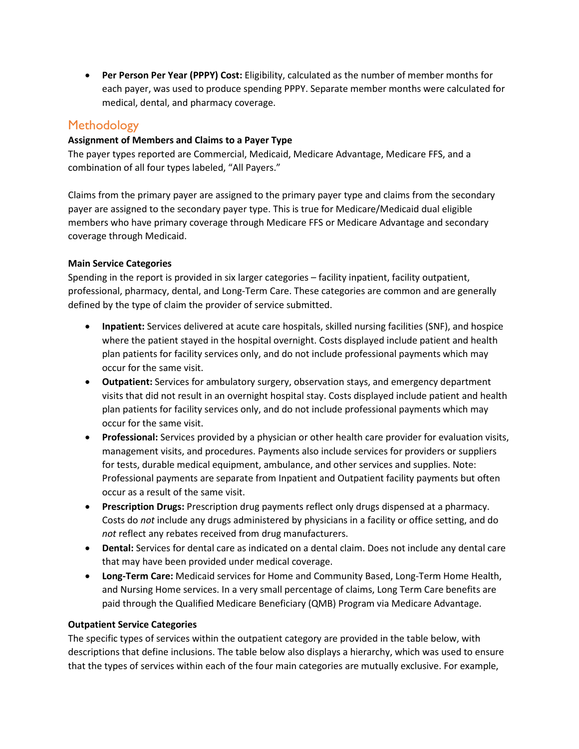• **Per Person Per Year (PPPY) Cost:** Eligibility, calculated as the number of member months for each payer, was used to produce spending PPPY. Separate member months were calculated for medical, dental, and pharmacy coverage.

### **Methodology**

#### **Assignment of Members and Claims to a Payer Type**

The payer types reported are Commercial, Medicaid, Medicare Advantage, Medicare FFS, and a combination of all four types labeled, "All Payers."

Claims from the primary payer are assigned to the primary payer type and claims from the secondary payer are assigned to the secondary payer type. This is true for Medicare/Medicaid dual eligible members who have primary coverage through Medicare FFS or Medicare Advantage and secondary coverage through Medicaid.

#### **Main Service Categories**

Spending in the report is provided in six larger categories – facility inpatient, facility outpatient, professional, pharmacy, dental, and Long-Term Care. These categories are common and are generally defined by the type of claim the provider of service submitted.

- **Inpatient:** Services delivered at acute care hospitals, skilled nursing facilities (SNF), and hospice where the patient stayed in the hospital overnight. Costs displayed include patient and health plan patients for facility services only, and do not include professional payments which may occur for the same visit.
- **Outpatient:** Services for ambulatory surgery, observation stays, and emergency department visits that did not result in an overnight hospital stay. Costs displayed include patient and health plan patients for facility services only, and do not include professional payments which may occur for the same visit.
- **Professional:** Services provided by a physician or other health care provider for evaluation visits, management visits, and procedures. Payments also include services for providers or suppliers for tests, durable medical equipment, ambulance, and other services and supplies. Note: Professional payments are separate from Inpatient and Outpatient facility payments but often occur as a result of the same visit.
- **Prescription Drugs:** Prescription drug payments reflect only drugs dispensed at a pharmacy. Costs do *not* include any drugs administered by physicians in a facility or office setting, and do *not* reflect any rebates received from drug manufacturers.
- **Dental:** Services for dental care as indicated on a dental claim. Does not include any dental care that may have been provided under medical coverage.
- **Long-Term Care:** Medicaid services for Home and Community Based, Long-Term Home Health, and Nursing Home services. In a very small percentage of claims, Long Term Care benefits are paid through the Qualified Medicare Beneficiary (QMB) Program via Medicare Advantage.

#### **Outpatient Service Categories**

The specific types of services within the outpatient category are provided in the table below, with descriptions that define inclusions. The table below also displays a hierarchy, which was used to ensure that the types of services within each of the four main categories are mutually exclusive. For example,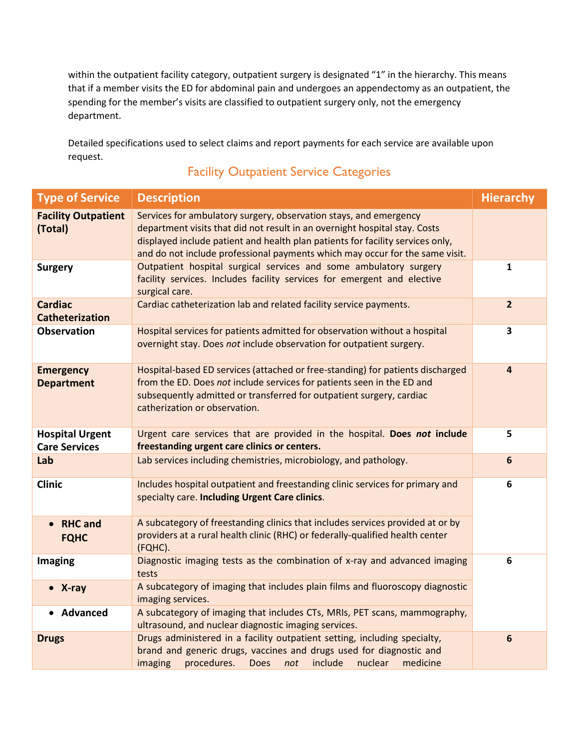within the outpatient facility category, outpatient surgery is designated "1" in the hierarchy. This means that if a member visits the ED for abdominal pain and undergoes an appendectomy as an outpatient, the spending for the member's visits are classified to outpatient surgery only, not the emergency department.

Detailed specifications used to select claims and report payments for each service are available upon request.

### Facility Outpatient Service Categories

| <b>Type of Service</b>                         | <b>Description</b>                                                                                                                                                                                                                                                                                                | <b>Hierarchy</b>        |
|------------------------------------------------|-------------------------------------------------------------------------------------------------------------------------------------------------------------------------------------------------------------------------------------------------------------------------------------------------------------------|-------------------------|
| <b>Facility Outpatient</b><br>(Total)          | Services for ambulatory surgery, observation stays, and emergency<br>department visits that did not result in an overnight hospital stay. Costs<br>displayed include patient and health plan patients for facility services only,<br>and do not include professional payments which may occur for the same visit. |                         |
| <b>Surgery</b>                                 | Outpatient hospital surgical services and some ambulatory surgery<br>facility services. Includes facility services for emergent and elective<br>surgical care.                                                                                                                                                    | $\mathbf{1}$            |
| <b>Cardiac</b><br><b>Catheterization</b>       | Cardiac catheterization lab and related facility service payments.                                                                                                                                                                                                                                                | $\overline{2}$          |
| <b>Observation</b>                             | Hospital services for patients admitted for observation without a hospital<br>overnight stay. Does not include observation for outpatient surgery.                                                                                                                                                                | $\overline{\mathbf{3}}$ |
| <b>Emergency</b><br><b>Department</b>          | Hospital-based ED services (attached or free-standing) for patients discharged<br>from the ED. Does not include services for patients seen in the ED and<br>subsequently admitted or transferred for outpatient surgery, cardiac<br>catherization or observation.                                                 | $\overline{\mathbf{4}}$ |
| <b>Hospital Urgent</b><br><b>Care Services</b> | Urgent care services that are provided in the hospital. Does not include<br>freestanding urgent care clinics or centers.                                                                                                                                                                                          | 5                       |
| Lab                                            | Lab services including chemistries, microbiology, and pathology.                                                                                                                                                                                                                                                  | $6\phantom{1}$          |
| <b>Clinic</b>                                  | Includes hospital outpatient and freestanding clinic services for primary and<br>specialty care. Including Urgent Care clinics.                                                                                                                                                                                   | 6                       |
| <b>RHC</b> and<br>$\bullet$<br><b>FQHC</b>     | A subcategory of freestanding clinics that includes services provided at or by<br>providers at a rural health clinic (RHC) or federally-qualified health center<br>(FQHC).                                                                                                                                        |                         |
| <b>Imaging</b>                                 | Diagnostic imaging tests as the combination of x-ray and advanced imaging<br>tests                                                                                                                                                                                                                                | 6                       |
| $\bullet$ X-ray                                | A subcategory of imaging that includes plain films and fluoroscopy diagnostic<br>imaging services.                                                                                                                                                                                                                |                         |
| • Advanced                                     | A subcategory of imaging that includes CTs, MRIs, PET scans, mammography,<br>ultrasound, and nuclear diagnostic imaging services.                                                                                                                                                                                 |                         |
| <b>Drugs</b>                                   | Drugs administered in a facility outpatient setting, including specialty,<br>brand and generic drugs, vaccines and drugs used for diagnostic and<br>imaging<br>procedures.<br><b>Does</b><br>include<br>nuclear<br>medicine<br>not                                                                                | $6\phantom{1}$          |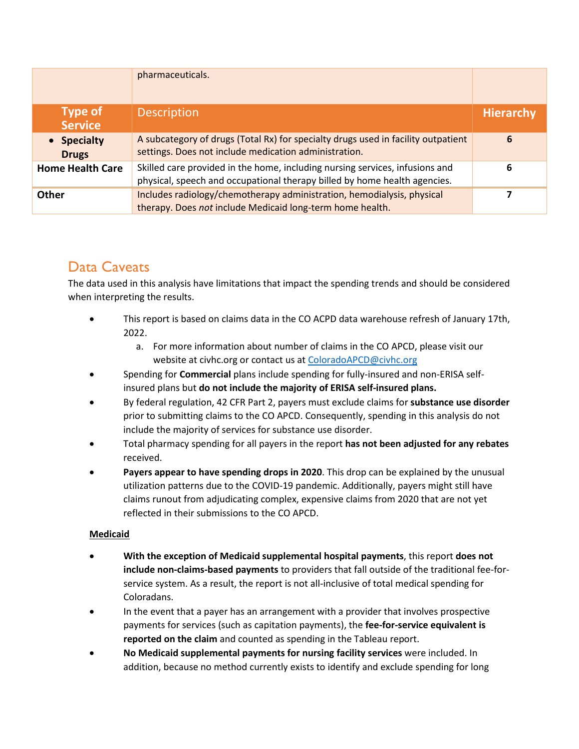|                                  | pharmaceuticals.                                                                                                                                          |                  |
|----------------------------------|-----------------------------------------------------------------------------------------------------------------------------------------------------------|------------------|
| <b>Type of</b><br><b>Service</b> | <b>Description</b>                                                                                                                                        | <b>Hierarchy</b> |
| • Specialty<br><b>Drugs</b>      | A subcategory of drugs (Total Rx) for specialty drugs used in facility outpatient<br>settings. Does not include medication administration.                | 6                |
| <b>Home Health Care</b>          | Skilled care provided in the home, including nursing services, infusions and<br>physical, speech and occupational therapy billed by home health agencies. | 6                |
| <b>Other</b>                     | Includes radiology/chemotherapy administration, hemodialysis, physical<br>therapy. Does not include Medicaid long-term home health.                       |                  |

## Data Caveats

The data used in this analysis have limitations that impact the spending trends and should be considered when interpreting the results.

- This report is based on claims data in the CO ACPD data warehouse refresh of January 17th, 2022.
	- a. For more information about number of claims in the CO APCD, please visit our website at civhc.org or contact us at [ColoradoAPCD@civhc.org](mailto:ColoradoAPCD@civhc.org)
- Spending for **Commercial** plans include spending for fully-insured and non-ERISA selfinsured plans but **do not include the majority of ERISA self-insured plans.**
- By federal regulation, 42 CFR Part 2, payers must exclude claims for **substance use disorder** prior to submitting claims to the CO APCD. Consequently, spending in this analysis do not include the majority of services for substance use disorder.
- Total pharmacy spending for all payers in the report **has not been adjusted for any rebates** received.
- **Payers appear to have spending drops in 2020**. This drop can be explained by the unusual utilization patterns due to the COVID-19 pandemic. Additionally, payers might still have claims runout from adjudicating complex, expensive claims from 2020 that are not yet reflected in their submissions to the CO APCD.

### **Medicaid**

- **With the exception of Medicaid supplemental hospital payments**, this report **does not include non-claims-based payments** to providers that fall outside of the traditional fee-forservice system. As a result, the report is not all-inclusive of total medical spending for Coloradans.
- In the event that a payer has an arrangement with a provider that involves prospective payments for services (such as capitation payments), the **fee-for-service equivalent is reported on the claim** and counted as spending in the Tableau report.
- **No Medicaid supplemental payments for nursing facility services** were included. In addition, because no method currently exists to identify and exclude spending for long